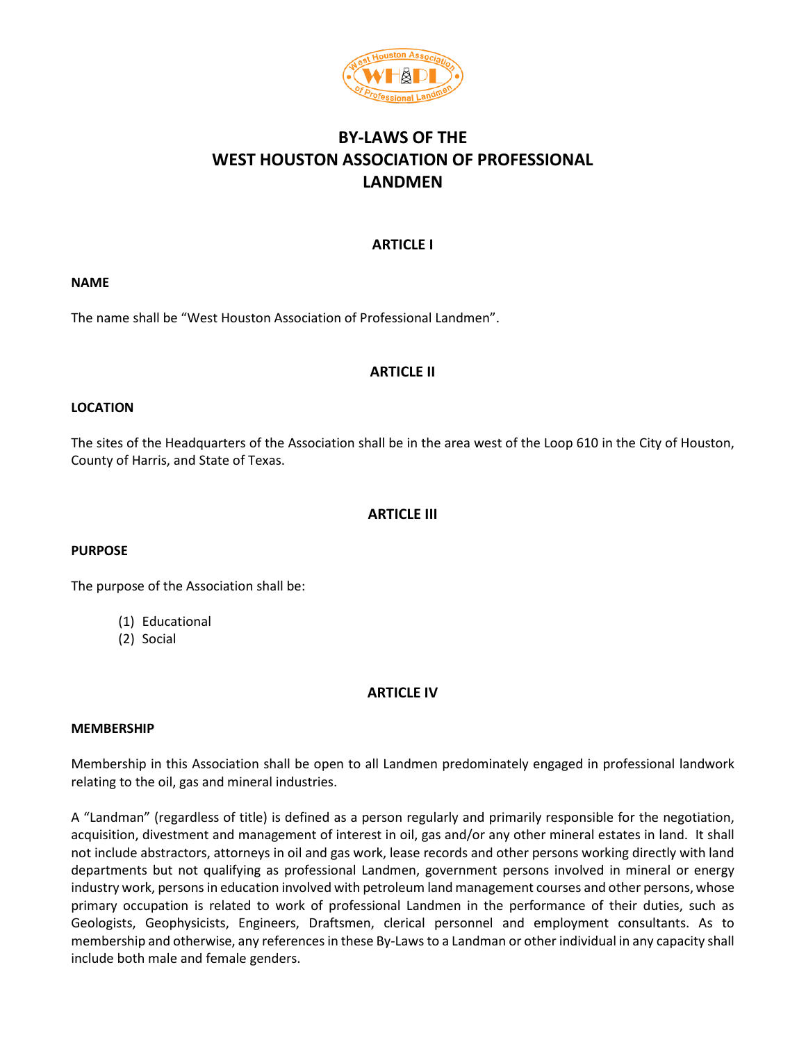

# **BY-LAWS OF THE WEST HOUSTON ASSOCIATION OF PROFESSIONAL LANDMEN**

### **ARTICLE I**

#### **NAME**

The name shall be "West Houston Association of Professional Landmen".

### **ARTICLE II**

#### **LOCATION**

The sites of the Headquarters of the Association shall be in the area west of the Loop 610 in the City of Houston, County of Harris, and State of Texas.

### **ARTICLE III**

#### **PURPOSE**

The purpose of the Association shall be:

- (1) Educational
- (2) Social

### **ARTICLE IV**

#### **MEMBERSHIP**

Membership in this Association shall be open to all Landmen predominately engaged in professional landwork relating to the oil, gas and mineral industries.

A "Landman" (regardless of title) is defined as a person regularly and primarily responsible for the negotiation, acquisition, divestment and management of interest in oil, gas and/or any other mineral estates in land. It shall not include abstractors, attorneys in oil and gas work, lease records and other persons working directly with land departments but not qualifying as professional Landmen, government persons involved in mineral or energy industry work, persons in education involved with petroleum land management courses and other persons, whose primary occupation is related to work of professional Landmen in the performance of their duties, such as Geologists, Geophysicists, Engineers, Draftsmen, clerical personnel and employment consultants. As to membership and otherwise, any references in these By-Laws to a Landman or other individual in any capacity shall include both male and female genders.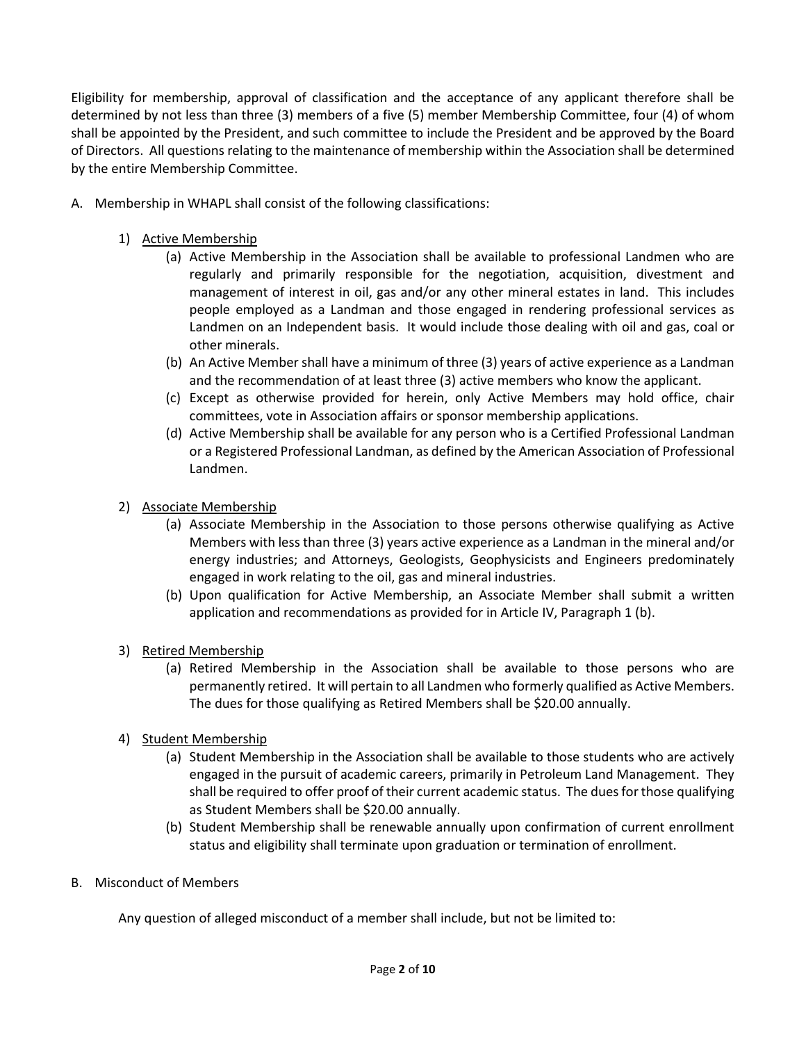Eligibility for membership, approval of classification and the acceptance of any applicant therefore shall be determined by not less than three (3) members of a five (5) member Membership Committee, four (4) of whom shall be appointed by the President, and such committee to include the President and be approved by the Board of Directors. All questions relating to the maintenance of membership within the Association shall be determined by the entire Membership Committee.

- A. Membership in WHAPL shall consist of the following classifications:
	- 1) Active Membership
		- (a) Active Membership in the Association shall be available to professional Landmen who are regularly and primarily responsible for the negotiation, acquisition, divestment and management of interest in oil, gas and/or any other mineral estates in land. This includes people employed as a Landman and those engaged in rendering professional services as Landmen on an Independent basis. It would include those dealing with oil and gas, coal or other minerals.
		- (b) An Active Member shall have a minimum of three (3) years of active experience as a Landman and the recommendation of at least three (3) active members who know the applicant.
		- (c) Except as otherwise provided for herein, only Active Members may hold office, chair committees, vote in Association affairs or sponsor membership applications.
		- (d) Active Membership shall be available for any person who is a Certified Professional Landman or a Registered Professional Landman, as defined by the American Association of Professional Landmen.
	- 2) Associate Membership
		- (a) Associate Membership in the Association to those persons otherwise qualifying as Active Members with less than three (3) years active experience as a Landman in the mineral and/or energy industries; and Attorneys, Geologists, Geophysicists and Engineers predominately engaged in work relating to the oil, gas and mineral industries.
		- (b) Upon qualification for Active Membership, an Associate Member shall submit a written application and recommendations as provided for in Article IV, Paragraph 1 (b).
	- 3) Retired Membership
		- (a) Retired Membership in the Association shall be available to those persons who are permanently retired. It will pertain to all Landmen who formerly qualified as Active Members. The dues for those qualifying as Retired Members shall be \$20.00 annually.
	- 4) Student Membership
		- (a) Student Membership in the Association shall be available to those students who are actively engaged in the pursuit of academic careers, primarily in Petroleum Land Management. They shall be required to offer proof of their current academic status. The dues for those qualifying as Student Members shall be \$20.00 annually.
		- (b) Student Membership shall be renewable annually upon confirmation of current enrollment status and eligibility shall terminate upon graduation or termination of enrollment.
- B. Misconduct of Members

Any question of alleged misconduct of a member shall include, but not be limited to: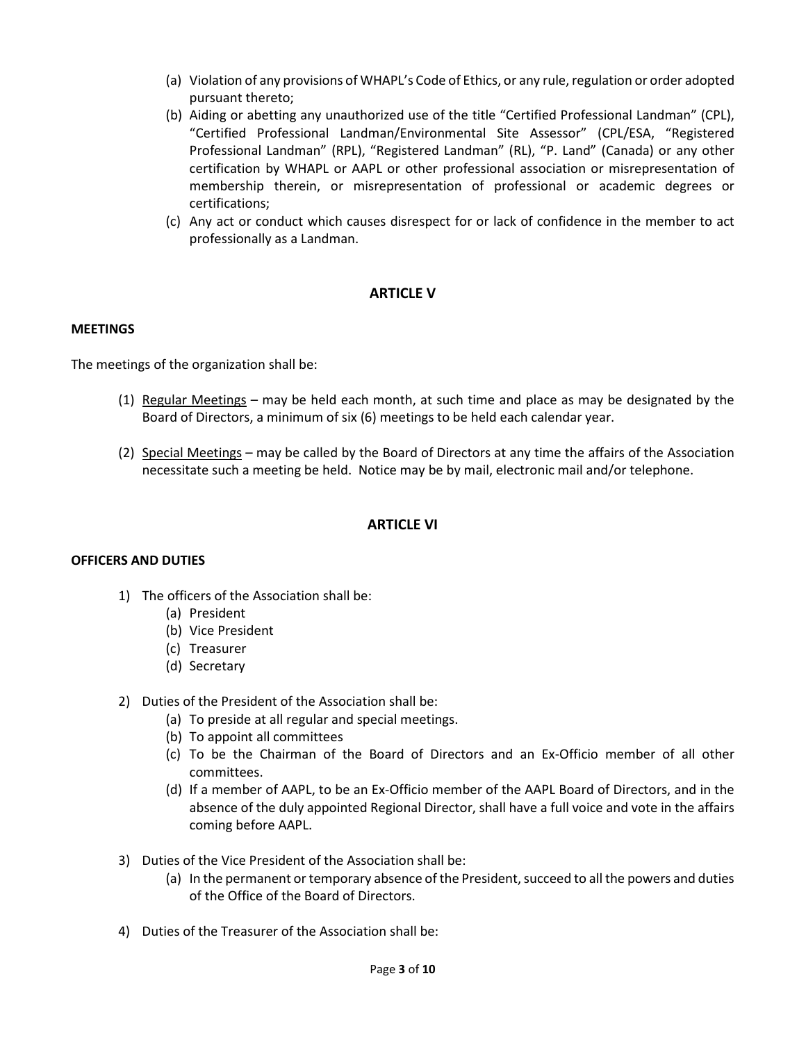- (a) Violation of any provisions of WHAPL's Code of Ethics, or any rule, regulation or order adopted pursuant thereto;
- (b) Aiding or abetting any unauthorized use of the title "Certified Professional Landman" (CPL), "Certified Professional Landman/Environmental Site Assessor" (CPL/ESA, "Registered Professional Landman" (RPL), "Registered Landman" (RL), "P. Land" (Canada) or any other certification by WHAPL or AAPL or other professional association or misrepresentation of membership therein, or misrepresentation of professional or academic degrees or certifications;
- (c) Any act or conduct which causes disrespect for or lack of confidence in the member to act professionally as a Landman.

# **ARTICLE V**

#### **MEETINGS**

The meetings of the organization shall be:

- (1) Regular Meetings may be held each month, at such time and place as may be designated by the Board of Directors, a minimum of six (6) meetings to be held each calendar year.
- (2) Special Meetings may be called by the Board of Directors at any time the affairs of the Association necessitate such a meeting be held. Notice may be by mail, electronic mail and/or telephone.

### **ARTICLE VI**

#### **OFFICERS AND DUTIES**

- 1) The officers of the Association shall be:
	- (a) President
	- (b) Vice President
	- (c) Treasurer
	- (d) Secretary
- 2) Duties of the President of the Association shall be:
	- (a) To preside at all regular and special meetings.
	- (b) To appoint all committees
	- (c) To be the Chairman of the Board of Directors and an Ex-Officio member of all other committees.
	- (d) If a member of AAPL, to be an Ex-Officio member of the AAPL Board of Directors, and in the absence of the duly appointed Regional Director, shall have a full voice and vote in the affairs coming before AAPL.
- 3) Duties of the Vice President of the Association shall be:
	- (a) In the permanent or temporary absence of the President, succeed to all the powers and duties of the Office of the Board of Directors.
- 4) Duties of the Treasurer of the Association shall be: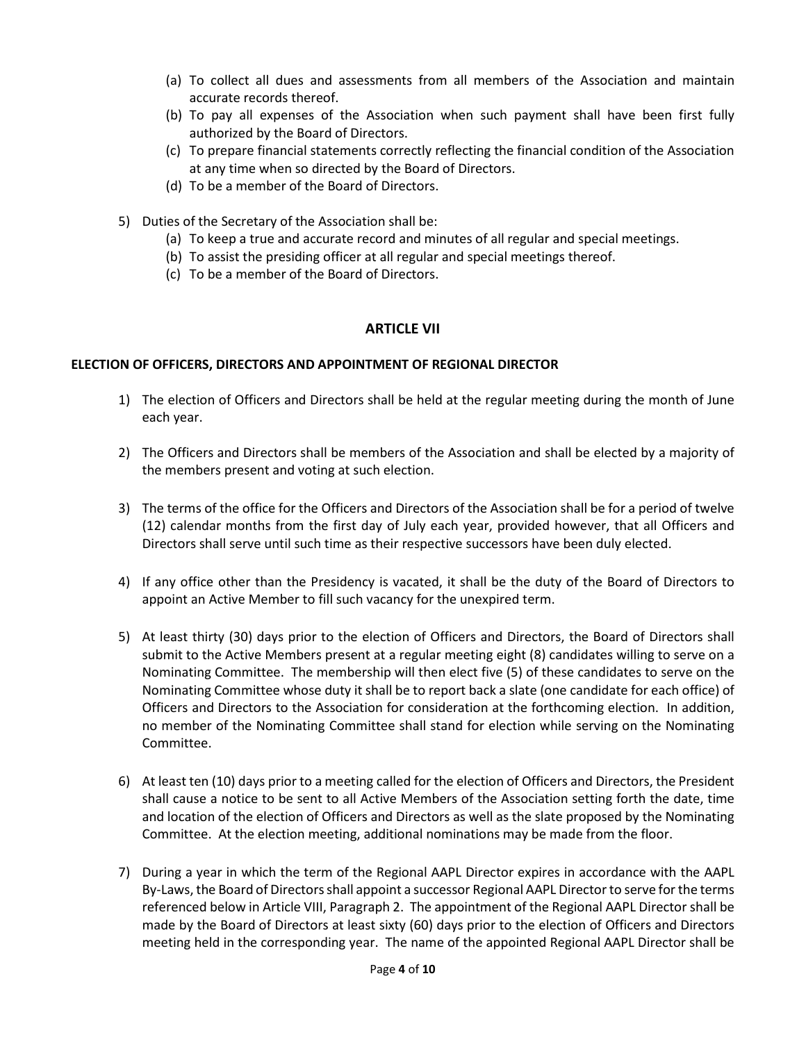- (a) To collect all dues and assessments from all members of the Association and maintain accurate records thereof.
- (b) To pay all expenses of the Association when such payment shall have been first fully authorized by the Board of Directors.
- (c) To prepare financial statements correctly reflecting the financial condition of the Association at any time when so directed by the Board of Directors.
- (d) To be a member of the Board of Directors.
- 5) Duties of the Secretary of the Association shall be:
	- (a) To keep a true and accurate record and minutes of all regular and special meetings.
	- (b) To assist the presiding officer at all regular and special meetings thereof.
	- (c) To be a member of the Board of Directors.

# **ARTICLE VII**

### **ELECTION OF OFFICERS, DIRECTORS AND APPOINTMENT OF REGIONAL DIRECTOR**

- 1) The election of Officers and Directors shall be held at the regular meeting during the month of June each year.
- 2) The Officers and Directors shall be members of the Association and shall be elected by a majority of the members present and voting at such election.
- 3) The terms of the office for the Officers and Directors of the Association shall be for a period of twelve (12) calendar months from the first day of July each year, provided however, that all Officers and Directors shall serve until such time as their respective successors have been duly elected.
- 4) If any office other than the Presidency is vacated, it shall be the duty of the Board of Directors to appoint an Active Member to fill such vacancy for the unexpired term.
- 5) At least thirty (30) days prior to the election of Officers and Directors, the Board of Directors shall submit to the Active Members present at a regular meeting eight (8) candidates willing to serve on a Nominating Committee. The membership will then elect five (5) of these candidates to serve on the Nominating Committee whose duty it shall be to report back a slate (one candidate for each office) of Officers and Directors to the Association for consideration at the forthcoming election. In addition, no member of the Nominating Committee shall stand for election while serving on the Nominating Committee.
- 6) At least ten (10) days prior to a meeting called for the election of Officers and Directors, the President shall cause a notice to be sent to all Active Members of the Association setting forth the date, time and location of the election of Officers and Directors as well as the slate proposed by the Nominating Committee. At the election meeting, additional nominations may be made from the floor.
- 7) During a year in which the term of the Regional AAPL Director expires in accordance with the AAPL By-Laws, the Board of Directors shall appoint a successor Regional AAPL Director to serve for the terms referenced below in Article VIII, Paragraph 2. The appointment of the Regional AAPL Director shall be made by the Board of Directors at least sixty (60) days prior to the election of Officers and Directors meeting held in the corresponding year. The name of the appointed Regional AAPL Director shall be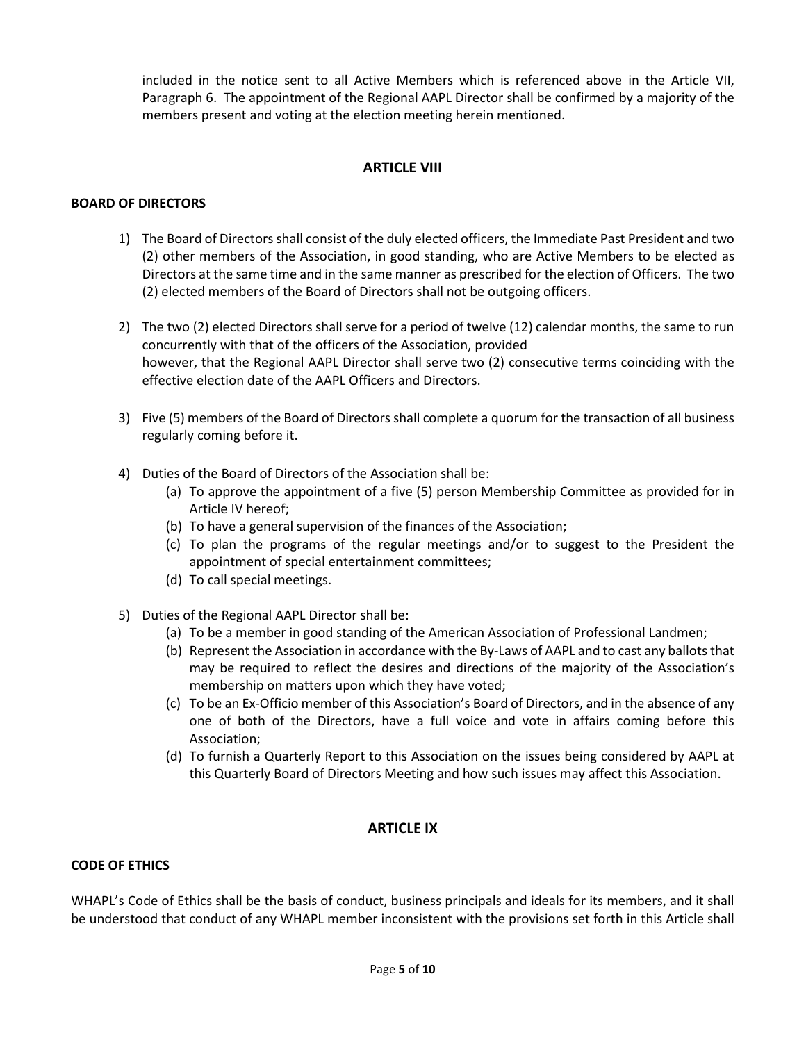included in the notice sent to all Active Members which is referenced above in the Article VII, Paragraph 6. The appointment of the Regional AAPL Director shall be confirmed by a majority of the members present and voting at the election meeting herein mentioned.

# **ARTICLE VIII**

### **BOARD OF DIRECTORS**

- 1) The Board of Directors shall consist of the duly elected officers, the Immediate Past President and two (2) other members of the Association, in good standing, who are Active Members to be elected as Directors at the same time and in the same manner as prescribed for the election of Officers. The two (2) elected members of the Board of Directors shall not be outgoing officers.
- 2) The two (2) elected Directors shall serve for a period of twelve (12) calendar months, the same to run concurrently with that of the officers of the Association, provided however, that the Regional AAPL Director shall serve two (2) consecutive terms coinciding with the effective election date of the AAPL Officers and Directors.
- 3) Five (5) members of the Board of Directors shall complete a quorum for the transaction of all business regularly coming before it.
- 4) Duties of the Board of Directors of the Association shall be:
	- (a) To approve the appointment of a five (5) person Membership Committee as provided for in Article IV hereof;
	- (b) To have a general supervision of the finances of the Association;
	- (c) To plan the programs of the regular meetings and/or to suggest to the President the appointment of special entertainment committees;
	- (d) To call special meetings.
- 5) Duties of the Regional AAPL Director shall be:
	- (a) To be a member in good standing of the American Association of Professional Landmen;
	- (b) Represent the Association in accordance with the By-Laws of AAPL and to cast any ballots that may be required to reflect the desires and directions of the majority of the Association's membership on matters upon which they have voted;
	- (c) To be an Ex-Officio member of this Association's Board of Directors, and in the absence of any one of both of the Directors, have a full voice and vote in affairs coming before this Association;
	- (d) To furnish a Quarterly Report to this Association on the issues being considered by AAPL at this Quarterly Board of Directors Meeting and how such issues may affect this Association.

# **ARTICLE IX**

# **CODE OF ETHICS**

WHAPL's Code of Ethics shall be the basis of conduct, business principals and ideals for its members, and it shall be understood that conduct of any WHAPL member inconsistent with the provisions set forth in this Article shall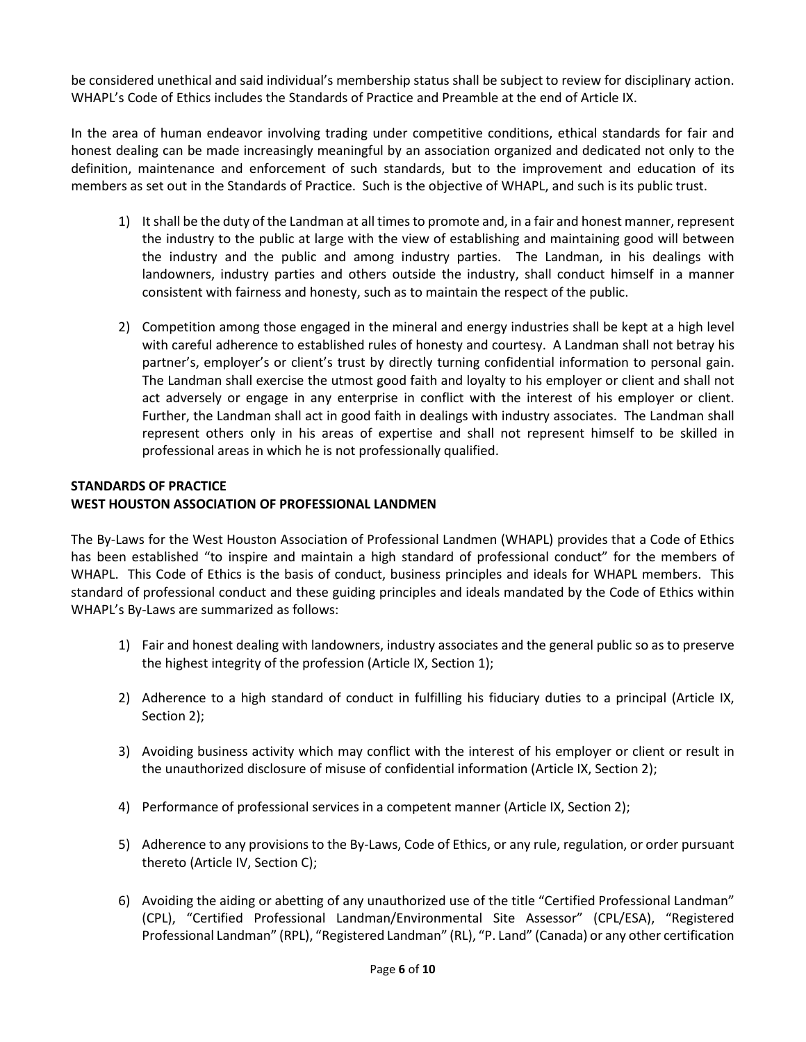be considered unethical and said individual's membership status shall be subject to review for disciplinary action. WHAPL's Code of Ethics includes the Standards of Practice and Preamble at the end of Article IX.

In the area of human endeavor involving trading under competitive conditions, ethical standards for fair and honest dealing can be made increasingly meaningful by an association organized and dedicated not only to the definition, maintenance and enforcement of such standards, but to the improvement and education of its members as set out in the Standards of Practice. Such is the objective of WHAPL, and such is its public trust.

- 1) It shall be the duty of the Landman at all times to promote and, in a fair and honest manner, represent the industry to the public at large with the view of establishing and maintaining good will between the industry and the public and among industry parties. The Landman, in his dealings with landowners, industry parties and others outside the industry, shall conduct himself in a manner consistent with fairness and honesty, such as to maintain the respect of the public.
- 2) Competition among those engaged in the mineral and energy industries shall be kept at a high level with careful adherence to established rules of honesty and courtesy. A Landman shall not betray his partner's, employer's or client's trust by directly turning confidential information to personal gain. The Landman shall exercise the utmost good faith and loyalty to his employer or client and shall not act adversely or engage in any enterprise in conflict with the interest of his employer or client. Further, the Landman shall act in good faith in dealings with industry associates. The Landman shall represent others only in his areas of expertise and shall not represent himself to be skilled in professional areas in which he is not professionally qualified.

### **STANDARDS OF PRACTICE WEST HOUSTON ASSOCIATION OF PROFESSIONAL LANDMEN**

The By-Laws for the West Houston Association of Professional Landmen (WHAPL) provides that a Code of Ethics has been established "to inspire and maintain a high standard of professional conduct" for the members of WHAPL. This Code of Ethics is the basis of conduct, business principles and ideals for WHAPL members. This standard of professional conduct and these guiding principles and ideals mandated by the Code of Ethics within WHAPL's By-Laws are summarized as follows:

- 1) Fair and honest dealing with landowners, industry associates and the general public so as to preserve the highest integrity of the profession (Article IX, Section 1);
- 2) Adherence to a high standard of conduct in fulfilling his fiduciary duties to a principal (Article IX, Section 2);
- 3) Avoiding business activity which may conflict with the interest of his employer or client or result in the unauthorized disclosure of misuse of confidential information (Article IX, Section 2);
- 4) Performance of professional services in a competent manner (Article IX, Section 2);
- 5) Adherence to any provisions to the By-Laws, Code of Ethics, or any rule, regulation, or order pursuant thereto (Article IV, Section C);
- 6) Avoiding the aiding or abetting of any unauthorized use of the title "Certified Professional Landman" (CPL), "Certified Professional Landman/Environmental Site Assessor" (CPL/ESA), "Registered Professional Landman" (RPL), "Registered Landman" (RL), "P. Land" (Canada) or any other certification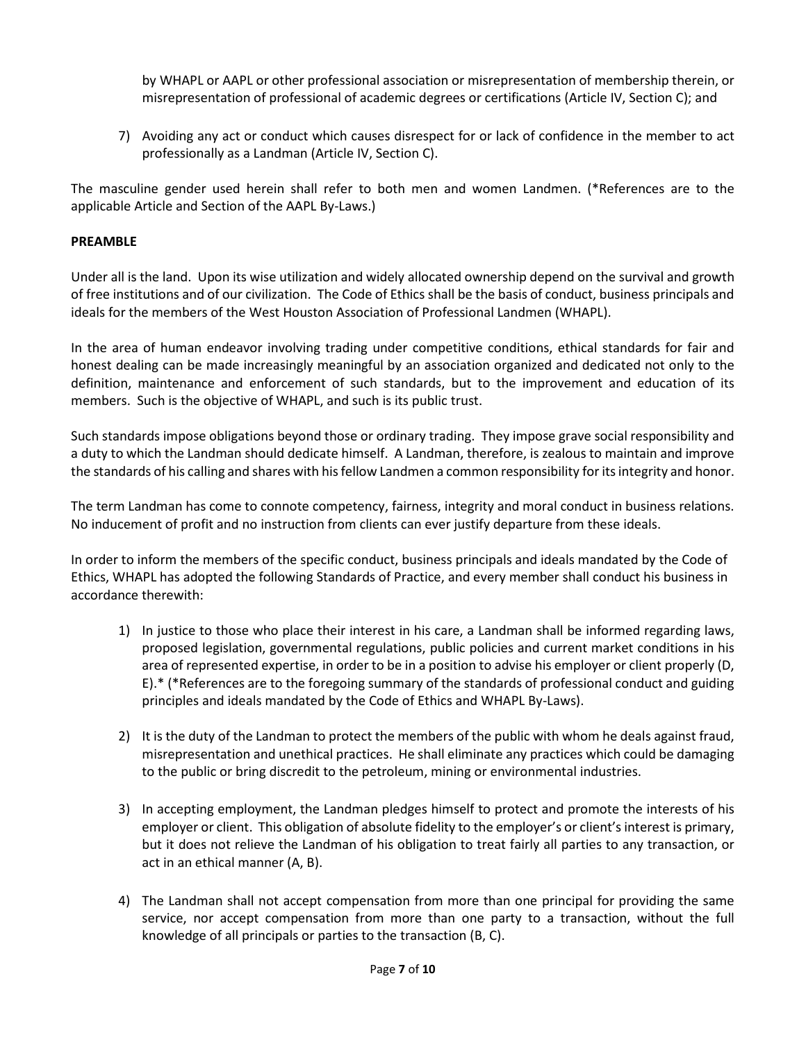by WHAPL or AAPL or other professional association or misrepresentation of membership therein, or misrepresentation of professional of academic degrees or certifications (Article IV, Section C); and

7) Avoiding any act or conduct which causes disrespect for or lack of confidence in the member to act professionally as a Landman (Article IV, Section C).

The masculine gender used herein shall refer to both men and women Landmen. (\*References are to the applicable Article and Section of the AAPL By-Laws.)

### **PREAMBLE**

Under all is the land. Upon its wise utilization and widely allocated ownership depend on the survival and growth of free institutions and of our civilization. The Code of Ethics shall be the basis of conduct, business principals and ideals for the members of the West Houston Association of Professional Landmen (WHAPL).

In the area of human endeavor involving trading under competitive conditions, ethical standards for fair and honest dealing can be made increasingly meaningful by an association organized and dedicated not only to the definition, maintenance and enforcement of such standards, but to the improvement and education of its members. Such is the objective of WHAPL, and such is its public trust.

Such standards impose obligations beyond those or ordinary trading. They impose grave social responsibility and a duty to which the Landman should dedicate himself. A Landman, therefore, is zealous to maintain and improve the standards of his calling and shares with his fellow Landmen a common responsibility for its integrity and honor.

The term Landman has come to connote competency, fairness, integrity and moral conduct in business relations. No inducement of profit and no instruction from clients can ever justify departure from these ideals.

In order to inform the members of the specific conduct, business principals and ideals mandated by the Code of Ethics, WHAPL has adopted the following Standards of Practice, and every member shall conduct his business in accordance therewith:

- 1) In justice to those who place their interest in his care, a Landman shall be informed regarding laws, proposed legislation, governmental regulations, public policies and current market conditions in his area of represented expertise, in order to be in a position to advise his employer or client properly (D, E).\* (\*References are to the foregoing summary of the standards of professional conduct and guiding principles and ideals mandated by the Code of Ethics and WHAPL By-Laws).
- 2) It is the duty of the Landman to protect the members of the public with whom he deals against fraud, misrepresentation and unethical practices. He shall eliminate any practices which could be damaging to the public or bring discredit to the petroleum, mining or environmental industries.
- 3) In accepting employment, the Landman pledges himself to protect and promote the interests of his employer or client. This obligation of absolute fidelity to the employer's or client's interest is primary, but it does not relieve the Landman of his obligation to treat fairly all parties to any transaction, or act in an ethical manner (A, B).
- 4) The Landman shall not accept compensation from more than one principal for providing the same service, nor accept compensation from more than one party to a transaction, without the full knowledge of all principals or parties to the transaction (B, C).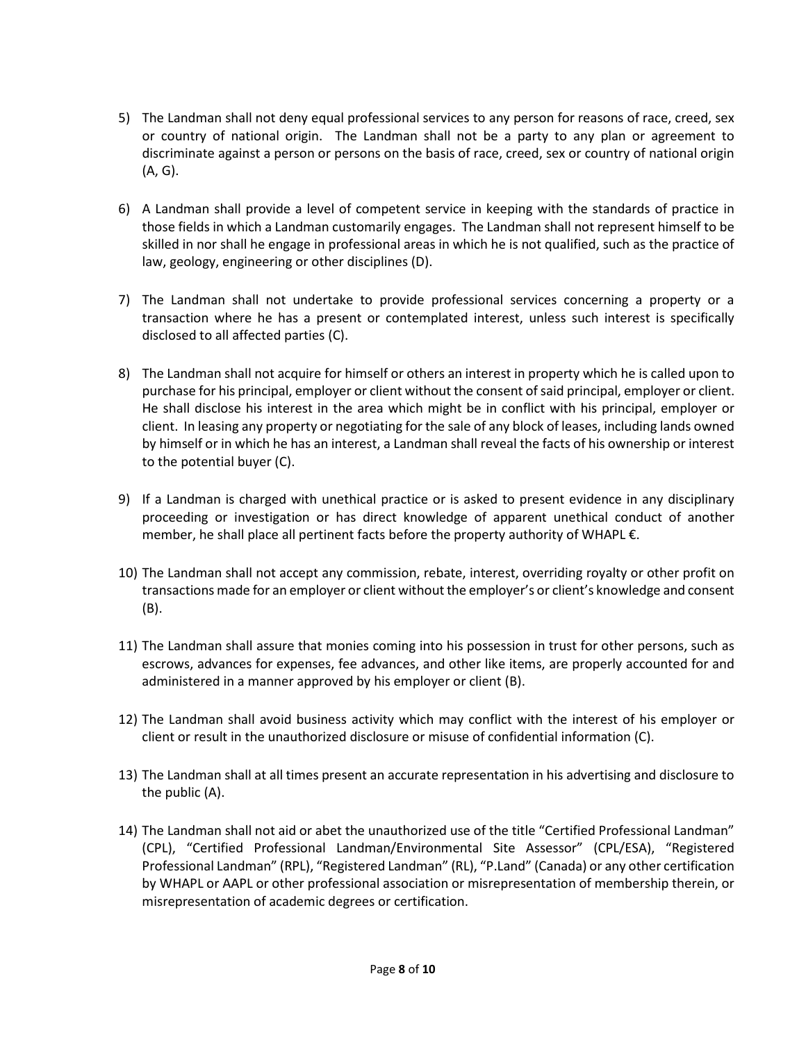- 5) The Landman shall not deny equal professional services to any person for reasons of race, creed, sex or country of national origin. The Landman shall not be a party to any plan or agreement to discriminate against a person or persons on the basis of race, creed, sex or country of national origin (A, G).
- 6) A Landman shall provide a level of competent service in keeping with the standards of practice in those fields in which a Landman customarily engages. The Landman shall not represent himself to be skilled in nor shall he engage in professional areas in which he is not qualified, such as the practice of law, geology, engineering or other disciplines (D).
- 7) The Landman shall not undertake to provide professional services concerning a property or a transaction where he has a present or contemplated interest, unless such interest is specifically disclosed to all affected parties (C).
- 8) The Landman shall not acquire for himself or others an interest in property which he is called upon to purchase for his principal, employer or client without the consent of said principal, employer or client. He shall disclose his interest in the area which might be in conflict with his principal, employer or client. In leasing any property or negotiating for the sale of any block of leases, including lands owned by himself or in which he has an interest, a Landman shall reveal the facts of his ownership or interest to the potential buyer (C).
- 9) If a Landman is charged with unethical practice or is asked to present evidence in any disciplinary proceeding or investigation or has direct knowledge of apparent unethical conduct of another member, he shall place all pertinent facts before the property authority of WHAPL €.
- 10) The Landman shall not accept any commission, rebate, interest, overriding royalty or other profit on transactions made for an employer or client without the employer's or client's knowledge and consent (B).
- 11) The Landman shall assure that monies coming into his possession in trust for other persons, such as escrows, advances for expenses, fee advances, and other like items, are properly accounted for and administered in a manner approved by his employer or client (B).
- 12) The Landman shall avoid business activity which may conflict with the interest of his employer or client or result in the unauthorized disclosure or misuse of confidential information (C).
- 13) The Landman shall at all times present an accurate representation in his advertising and disclosure to the public (A).
- 14) The Landman shall not aid or abet the unauthorized use of the title "Certified Professional Landman" (CPL), "Certified Professional Landman/Environmental Site Assessor" (CPL/ESA), "Registered Professional Landman" (RPL), "Registered Landman" (RL), "P.Land" (Canada) or any other certification by WHAPL or AAPL or other professional association or misrepresentation of membership therein, or misrepresentation of academic degrees or certification.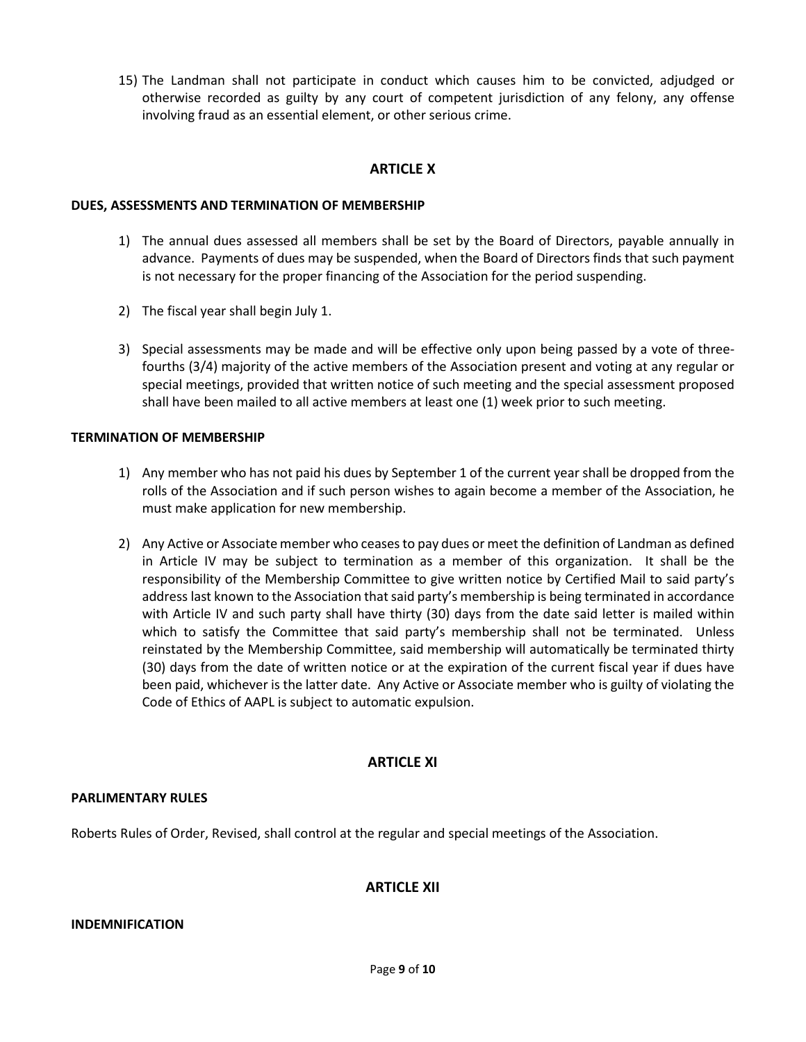15) The Landman shall not participate in conduct which causes him to be convicted, adjudged or otherwise recorded as guilty by any court of competent jurisdiction of any felony, any offense involving fraud as an essential element, or other serious crime.

### **ARTICLE X**

#### **DUES, ASSESSMENTS AND TERMINATION OF MEMBERSHIP**

- 1) The annual dues assessed all members shall be set by the Board of Directors, payable annually in advance. Payments of dues may be suspended, when the Board of Directors finds that such payment is not necessary for the proper financing of the Association for the period suspending.
- 2) The fiscal year shall begin July 1.
- 3) Special assessments may be made and will be effective only upon being passed by a vote of threefourths (3/4) majority of the active members of the Association present and voting at any regular or special meetings, provided that written notice of such meeting and the special assessment proposed shall have been mailed to all active members at least one (1) week prior to such meeting.

#### **TERMINATION OF MEMBERSHIP**

- 1) Any member who has not paid his dues by September 1 of the current year shall be dropped from the rolls of the Association and if such person wishes to again become a member of the Association, he must make application for new membership.
- 2) Any Active or Associate member who ceases to pay dues or meet the definition of Landman as defined in Article IV may be subject to termination as a member of this organization. It shall be the responsibility of the Membership Committee to give written notice by Certified Mail to said party's address last known to the Association that said party's membership is being terminated in accordance with Article IV and such party shall have thirty (30) days from the date said letter is mailed within which to satisfy the Committee that said party's membership shall not be terminated. Unless reinstated by the Membership Committee, said membership will automatically be terminated thirty (30) days from the date of written notice or at the expiration of the current fiscal year if dues have been paid, whichever is the latter date. Any Active or Associate member who is guilty of violating the Code of Ethics of AAPL is subject to automatic expulsion.

### **ARTICLE XI**

### **PARLIMENTARY RULES**

Roberts Rules of Order, Revised, shall control at the regular and special meetings of the Association.

# **ARTICLE XII**

#### **INDEMNIFICATION**